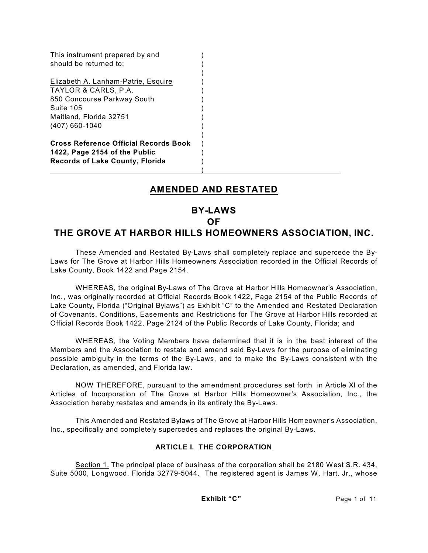| This instrument prepared by and<br>should be returned to:                                                                                            |  |
|------------------------------------------------------------------------------------------------------------------------------------------------------|--|
| Elizabeth A. Lanham-Patrie, Esquire<br>TAYLOR & CARLS, P.A.<br>850 Concourse Parkway South<br>Suite 105<br>Maitland, Florida 32751<br>(407) 660-1040 |  |
| <b>Cross Reference Official Records Book</b><br>1422, Page 2154 of the Public<br><b>Records of Lake County, Florida</b>                              |  |

## **AMENDED AND RESTATED**

# **BY-LAWS**

#### **OF**

## **THE GROVE AT HARBOR HILLS HOMEOWNERS ASSOCIATION, INC.**

These Amended and Restated By-Laws shall completely replace and supercede the By-Laws for The Grove at Harbor Hills Homeowners Association recorded in the Official Records of Lake County, Book 1422 and Page 2154.

WHEREAS, the original By-Laws of The Grove at Harbor Hills Homeowner's Association, Inc., was originally recorded at Official Records Book 1422, Page 2154 of the Public Records of Lake County, Florida ("Original Bylaws") as Exhibit "C" to the Amended and Restated Declaration of Covenants, Conditions, Easements and Restrictions for The Grove at Harbor Hills recorded at Official Records Book 1422, Page 2124 of the Public Records of Lake County, Florida; and

WHEREAS, the Voting Members have determined that it is in the best interest of the Members and the Association to restate and amend said By-Laws for the purpose of eliminating possible ambiguity in the terms of the By-Laws, and to make the By-Laws consistent with the Declaration, as amended, and Florida law.

NOW THEREFORE, pursuant to the amendment procedures set forth in Article XI of the Articles of Incorporation of The Grove at Harbor Hills Homeowner's Association, Inc., the Association hereby restates and amends in its entirety the By-Laws.

This Amended and Restated Bylaws of The Grove at Harbor Hills Homeowner's Association, Inc., specifically and completely supercedes and replaces the original By-Laws.

## **ARTICLE I. THE CORPORATION**

Section 1. The principal place of business of the corporation shall be 2180 West S.R. 434, Suite 5000, Longwood, Florida 32779-5044. The registered agent is James W. Hart, Jr., whose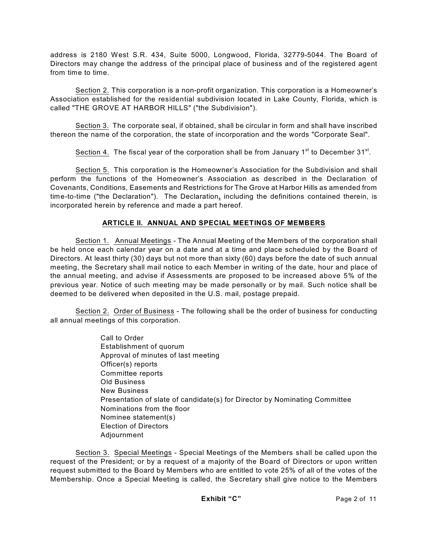address is 2180 West S.R. 434, Suite 5000, Longwood, Florida, 32779-5044. The Board of Directors may change the address of the principal place of business and of the registered agent from time to time.

Section 2. This corporation is a non-profit organization. This corporation is a Homeowner's Association established for the residential subdivision located in Lake County, Florida, which is called "THE GROVE AT HARBOR HILLS" ("the Subdivision").

Section 3. The corporate seal, if obtained, shall be circular in form and shall have inscribed thereon the name of the corporation, the state of incorporation and the words "Corporate Seal".

Section 4. The fiscal year of the corporation shall be from January 1<sup>st</sup> to December 31<sup>st</sup>.

Section 5. This corporation is the Homeowner's Association for the Subdivision and shall perform the functions of the Homeowner's Association as described in the Declaration of Covenants, Conditions, Easements and Restrictions for The Grove at Harbor Hills as amended from time-to-time ("the Declaration"). The Declaration**,** including the definitions contained therein, is incorporated herein by reference and made a part hereof.

## **ARTICLE II. ANNUAL AND SPECIAL MEETINGS OF MEMBERS**

Section 1. Annual Meetings - The Annual Meeting of the Members of the corporation shall be held once each calendar year on a date and at a time and place scheduled by the Board of Directors. At least thirty (30) days but not more than sixty (60) days before the date of such annual meeting, the Secretary shall mail notice to each Member in writing of the date, hour and place of the annual meeting, and advise if Assessments are proposed to be increased above 5% of the previous year. Notice of such meeting may be made personally or by mail. Such notice shall be deemed to be delivered when deposited in the U.S. mail, postage prepaid.

Section 2. Order of Business - The following shall be the order of business for conducting all annual meetings of this corporation.

> Call to Order Establishment of quorum Approval of minutes of last meeting Officer(s) reports Committee reports Old Business New Business Presentation of slate of candidate(s) for Director by Nominating Committee Nominations from the floor Nominee statement(s) Election of Directors Adjournment

Section 3. Special Meetings - Special Meetings of the Members shall be called upon the request of the President; or by a request of a majority of the Board of Directors or upon written request submitted to the Board by Members who are entitled to vote 25% of all of the votes of the Membership. Once a Special Meeting is called, the Secretary shall give notice to the Members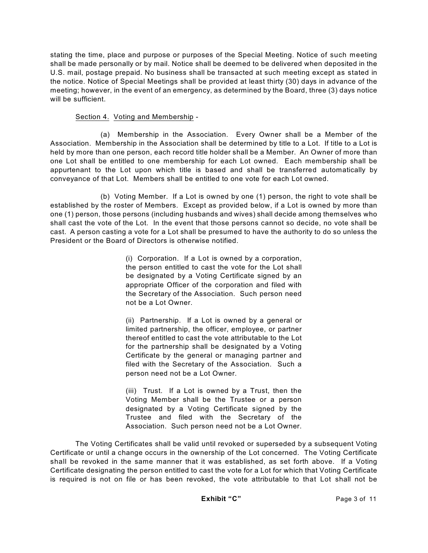stating the time, place and purpose or purposes of the Special Meeting. Notice of such meeting shall be made personally or by mail. Notice shall be deemed to be delivered when deposited in the U.S. mail, postage prepaid. No business shall be transacted at such meeting except as stated in the notice. Notice of Special Meetings shall be provided at least thirty (30) days in advance of the meeting; however, in the event of an emergency, as determined by the Board, three (3) days notice will be sufficient.

#### Section 4. Voting and Membership -

(a) Membership in the Association. Every Owner shall be a Member of the Association. Membership in the Association shall be determined by title to a Lot. If title to a Lot is held by more than one person, each record title holder shall be a Member. An Owner of more than one Lot shall be entitled to one membership for each Lot owned. Each membership shall be appurtenant to the Lot upon which title is based and shall be transferred automatically by conveyance of that Lot. Members shall be entitled to one vote for each Lot owned.

(b) Voting Member. If a Lot is owned by one (1) person, the right to vote shall be established by the roster of Members. Except as provided below, if a Lot is owned by more than one (1) person, those persons (including husbands and wives) shall decide among themselves who shall cast the vote of the Lot. In the event that those persons cannot so decide, no vote shall be cast. A person casting a vote for a Lot shall be presumed to have the authority to do so unless the President or the Board of Directors is otherwise notified.

> (i) Corporation. If a Lot is owned by a corporation, the person entitled to cast the vote for the Lot shall be designated by a Voting Certificate signed by an appropriate Officer of the corporation and filed with the Secretary of the Association. Such person need not be a Lot Owner.

> (ii) Partnership. If a Lot is owned by a general or limited partnership, the officer, employee, or partner thereof entitled to cast the vote attributable to the Lot for the partnership shall be designated by a Voting Certificate by the general or managing partner and filed with the Secretary of the Association. Such a person need not be a Lot Owner.

> (iii) Trust. If a Lot is owned by a Trust, then the Voting Member shall be the Trustee or a person designated by a Voting Certificate signed by the Trustee and filed with the Secretary of the Association. Such person need not be a Lot Owner.

The Voting Certificates shall be valid until revoked or superseded by a subsequent Voting Certificate or until a change occurs in the ownership of the Lot concerned. The Voting Certificate shall be revoked in the same manner that it was established, as set forth above. If a Voting Certificate designating the person entitled to cast the vote for a Lot for which that Voting Certificate is required is not on file or has been revoked, the vote attributable to that Lot shall not be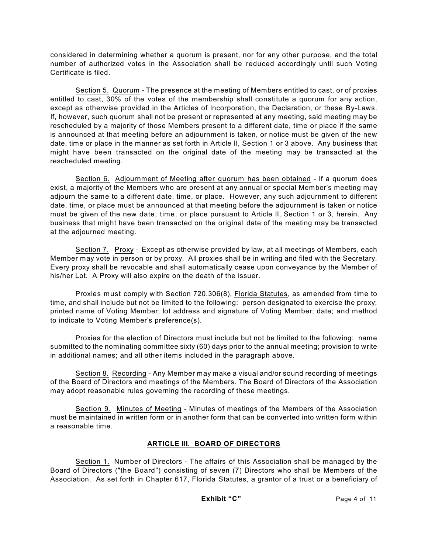considered in determining whether a quorum is present, nor for any other purpose, and the total number of authorized votes in the Association shall be reduced accordingly until such Voting Certificate is filed.

Section 5. Quorum - The presence at the meeting of Members entitled to cast, or of proxies entitled to cast, 30% of the votes of the membership shall constitute a quorum for any action, except as otherwise provided in the Articles of Incorporation, the Declaration, or these By-Laws. If, however, such quorum shall not be present or represented at any meeting, said meeting may be rescheduled by a majority of those Members present to a different date, time or place if the same is announced at that meeting before an adjournment is taken, or notice must be given of the new date, time or place in the manner as set forth in Article II, Section 1 or 3 above. Any business that might have been transacted on the original date of the meeting may be transacted at the rescheduled meeting.

Section 6. Adjournment of Meeting after quorum has been obtained - If a quorum does exist, a majority of the Members who are present at any annual or special Member's meeting may adjourn the same to a different date, time, or place. However, any such adjournment to different date, time, or place must be announced at that meeting before the adjournment is taken or notice must be given of the new date, time, or place pursuant to Article II, Section 1 or 3, herein. Any business that might have been transacted on the original date of the meeting may be transacted at the adjourned meeting.

Section 7. Proxy - Except as otherwise provided by law, at all meetings of Members, each Member may vote in person or by proxy. All proxies shall be in writing and filed with the Secretary. Every proxy shall be revocable and shall automatically cease upon conveyance by the Member of his/her Lot. A Proxy will also expire on the death of the issuer.

Proxies must comply with Section 720.306(8), Florida Statutes, as amended from time to time, and shall include but not be limited to the following: person designated to exercise the proxy; printed name of Voting Member; lot address and signature of Voting Member; date; and method to indicate to Voting Member's preference(s).

Proxies for the election of Directors must include but not be limited to the following: name submitted to the nominating committee sixty (60) days prior to the annual meeting; provision to write in additional names; and all other items included in the paragraph above.

Section 8. Recording - Any Member may make a visual and/or sound recording of meetings of the Board of Directors and meetings of the Members. The Board of Directors of the Association may adopt reasonable rules governing the recording of these meetings.

Section 9. Minutes of Meeting - Minutes of meetings of the Members of the Association must be maintained in written form or in another form that can be converted into written form within a reasonable time.

## **ARTICLE III. BOARD OF DIRECTORS**

Section 1. Number of Directors - The affairs of this Association shall be managed by the Board of Directors ("the Board") consisting of seven (7) Directors who shall be Members of the Association. As set forth in Chapter 617, Florida Statutes, a grantor of a trust or a beneficiary of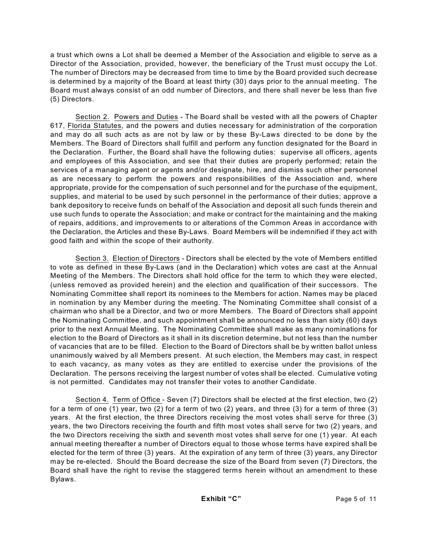a trust which owns a Lot shall be deemed a Member of the Association and eligible to serve as a Director of the Association, provided, however, the beneficiary of the Trust must occupy the Lot. The number of Directors may be decreased from time to time by the Board provided such decrease is determined by a majority of the Board at least thirty (30) days prior to the annual meeting. The Board must always consist of an odd number of Directors, and there shall never be less than five (5) Directors.

Section 2. Powers and Duties - The Board shall be vested with all the powers of Chapter 617, Florida Statutes, and the powers and duties necessary for administration of the corporation and may do all such acts as are not by law or by these By-Laws directed to be done by the Members. The Board of Directors shall fulfill and perform any function designated for the Board in the Declaration. Further, the Board shall have the following duties: supervise all officers, agents and employees of this Association, and see that their duties are properly performed; retain the services of a managing agent or agents and/or designate, hire, and dismiss such other personnel as are necessary to perform the powers and responsibilities of the Association and, where appropriate, provide for the compensation of such personnel and for the purchase of the equipment, supplies, and material to be used by such personnel in the performance of their duties; approve a bank depository to receive funds on behalf of the Association and deposit all such funds therein and use such funds to operate the Association; and make or contract for the maintaining and the making of repairs, additions, and improvements to or alterations of the Common Areas in accordance with the Declaration, the Articles and these By-Laws. Board Members will be indemnified if they act with good faith and within the scope of their authority.

Section 3. Election of Directors - Directors shall be elected by the vote of Members entitled to vote as defined in these By-Laws (and in the Declaration) which votes are cast at the Annual Meeting of the Members. The Directors shall hold office for the term to which they were elected, (unless removed as provided herein) and the election and qualification of their successors. The Nominating Committee shall report its nominees to the Members for action. Names may be placed in nomination by any Member during the meeting. The Nominating Committee shall consist of a chairman who shall be a Director, and two or more Members. The Board of Directors shall appoint the Nominating Committee, and such appointment shall be announced no less than sixty (60) days prior to the next Annual Meeting. The Nominating Committee shall make as many nominations for election to the Board of Directors as it shall in its discretion determine, but not less than the number of vacancies that are to be filled. Election to the Board of Directors shall be by written ballot unless unanimously waived by all Members present. At such election, the Members may cast, in respect to each vacancy, as many votes as they are entitled to exercise under the provisions of the Declaration. The persons receiving the largest number of votes shall be elected. Cumulative voting is not permitted. Candidates may not transfer their votes to another Candidate.

Section 4. Term of Office - Seven (7) Directors shall be elected at the first election, two (2) for a term of one (1) year, two (2) for a term of two (2) years, and three (3) for a term of three (3) years. At the first election, the three Directors receiving the most votes shall serve for three (3) years, the two Directors receiving the fourth and fifth most votes shall serve for two (2) years, and the two Directors receiving the sixth and seventh most votes shall serve for one (1) year. At each annual meeting thereafter a number of Directors equal to those whose terms have expired shall be elected for the term of three (3) years. At the expiration of any term of three (3) years, any Director may be re-elected. Should the Board decrease the size of the Board from seven (7) Directors, the Board shall have the right to revise the staggered terms herein without an amendment to these Bylaws.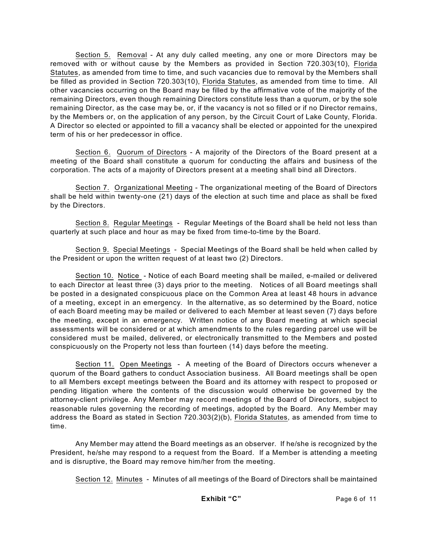Section 5. Removal - At any duly called meeting, any one or more Directors may be removed with or without cause by the Members as provided in Section 720.303(10), Florida Statutes, as amended from time to time, and such vacancies due to removal by the Members shall be filled as provided in Section 720.303(10), Florida Statutes, as amended from time to time. All other vacancies occurring on the Board may be filled by the affirmative vote of the majority of the remaining Directors, even though remaining Directors constitute less than a quorum, or by the sole remaining Director, as the case may be, or, if the vacancy is not so filled or if no Director remains, by the Members or, on the application of any person, by the Circuit Court of Lake County, Florida. A Director so elected or appointed to fill a vacancy shall be elected or appointed for the unexpired term of his or her predecessor in office.

Section 6. Quorum of Directors - A majority of the Directors of the Board present at a meeting of the Board shall constitute a quorum for conducting the affairs and business of the corporation. The acts of a majority of Directors present at a meeting shall bind all Directors.

Section 7. Organizational Meeting - The organizational meeting of the Board of Directors shall be held within twenty-one (21) days of the election at such time and place as shall be fixed by the Directors.

Section 8. Regular Meetings - Regular Meetings of the Board shall be held not less than quarterly at such place and hour as may be fixed from time-to-time by the Board.

Section 9. Special Meetings - Special Meetings of the Board shall be held when called by the President or upon the written request of at least two (2) Directors.

Section 10. Notice - Notice of each Board meeting shall be mailed, e-mailed or delivered to each Director at least three (3) days prior to the meeting. Notices of all Board meetings shall be posted in a designated conspicuous place on the Common Area at least 48 hours in advance of a meeting, except in an emergency. In the alternative, as so determined by the Board, notice of each Board meeting may be mailed or delivered to each Member at least seven (7) days before the meeting, except in an emergency. Written notice of any Board meeting at which special assessments will be considered or at which amendments to the rules regarding parcel use will be considered must be mailed, delivered, or electronically transmitted to the Members and posted conspicuously on the Property not less than fourteen (14) days before the meeting.

Section 11. Open Meetings - A meeting of the Board of Directors occurs whenever a quorum of the Board gathers to conduct Association business. All Board meetings shall be open to all Members except meetings between the Board and its attorney with respect to proposed or pending litigation where the contents of the discussion would otherwise be governed by the attorney-client privilege. Any Member may record meetings of the Board of Directors, subject to reasonable rules governing the recording of meetings, adopted by the Board. Any Member may address the Board as stated in Section 720.303(2)(b), Florida Statutes, as amended from time to time.

Any Member may attend the Board meetings as an observer. If he/she is recognized by the President, he/she may respond to a request from the Board. If a Member is attending a meeting and is disruptive, the Board may remove him/her from the meeting.

Section 12. Minutes - Minutes of all meetings of the Board of Directors shall be maintained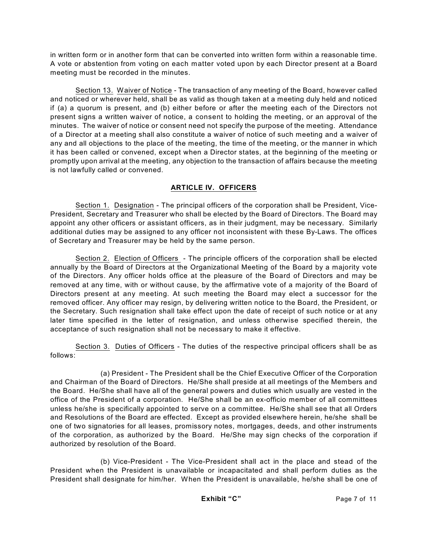in written form or in another form that can be converted into written form within a reasonable time. A vote or abstention from voting on each matter voted upon by each Director present at a Board meeting must be recorded in the minutes.

Section 13. Waiver of Notice - The transaction of any meeting of the Board, however called and noticed or wherever held, shall be as valid as though taken at a meeting duly held and noticed if (a) a quorum is present, and (b) either before or after the meeting each of the Directors not present signs a written waiver of notice, a consent to holding the meeting, or an approval of the minutes. The waiver of notice or consent need not specify the purpose of the meeting. Attendance of a Director at a meeting shall also constitute a waiver of notice of such meeting and a waiver of any and all objections to the place of the meeting, the time of the meeting, or the manner in which it has been called or convened, except when a Director states, at the beginning of the meeting or promptly upon arrival at the meeting, any objection to the transaction of affairs because the meeting is not lawfully called or convened.

## **ARTICLE IV. OFFICERS**

Section 1. Designation - The principal officers of the corporation shall be President, Vice-President, Secretary and Treasurer who shall be elected by the Board of Directors. The Board may appoint any other officers or assistant officers, as in their judgment, may be necessary. Similarly additional duties may be assigned to any officer not inconsistent with these By-Laws. The offices of Secretary and Treasurer may be held by the same person.

Section 2. Election of Officers - The principle officers of the corporation shall be elected annually by the Board of Directors at the Organizational Meeting of the Board by a majority vote of the Directors. Any officer holds office at the pleasure of the Board of Directors and may be removed at any time, with or without cause, by the affirmative vote of a majority of the Board of Directors present at any meeting. At such meeting the Board may elect a successor for the removed officer. Any officer may resign, by delivering written notice to the Board, the President, or the Secretary. Such resignation shall take effect upon the date of receipt of such notice or at any later time specified in the letter of resignation, and unless otherwise specified therein, the acceptance of such resignation shall not be necessary to make it effective.

Section 3. Duties of Officers - The duties of the respective principal officers shall be as follows:

(a) President - The President shall be the Chief Executive Officer of the Corporation and Chairman of the Board of Directors. He/She shall preside at all meetings of the Members and the Board. He/She shall have all of the general powers and duties which usually are vested in the office of the President of a corporation. He/She shall be an ex-officio member of all committees unless he/she is specifically appointed to serve on a committee. He/She shall see that all Orders and Resolutions of the Board are effected. Except as provided elsewhere herein, he/she shall be one of two signatories for all leases, promissory notes, mortgages, deeds, and other instruments of the corporation, as authorized by the Board.He/She may sign checks of the corporation if authorized by resolution of the Board.

(b) Vice-President - The Vice-President shall act in the place and stead of the President when the President is unavailable or incapacitated and shall perform duties as the President shall designate for him/her.When the President is unavailable, he/she shall be one of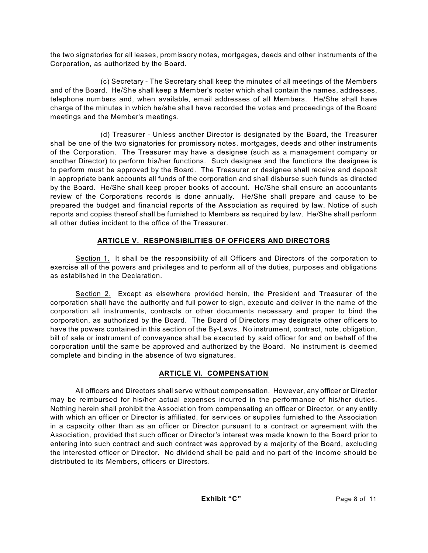the two signatories for all leases, promissory notes, mortgages, deeds and other instruments of the Corporation, as authorized by the Board.

(c) Secretary - The Secretary shall keep the minutes of all meetings of the Members and of the Board. He/She shall keep a Member's roster which shall contain the names, addresses, telephone numbers and, when available, email addresses of all Members. He/She shall have charge of the minutes in which he/she shall have recorded the votes and proceedings of the Board meetings and the Member's meetings.

(d) Treasurer - Unless another Director is designated by the Board, the Treasurer shall be one of the two signatories for promissory notes, mortgages, deeds and other instruments of the Corporation. The Treasurer may have a designee (such as a management company or another Director) to perform his/her functions. Such designee and the functions the designee is to perform must be approved by the Board. The Treasurer or designee shall receive and deposit in appropriate bank accounts all funds of the corporation and shall disburse such funds as directed by the Board. He/She shall keep proper books of account. He/She shall ensure an accountants review of the Corporations records is done annually. He/She shall prepare and cause to be prepared the budget and financial reports of the Association as required by law. Notice of such reports and copies thereof shall be furnished to Members as required by law. He/She shall perform all other duties incident to the office of the Treasurer.

## **ARTICLE V. RESPONSIBILITIES OF OFFICERS AND DIRECTORS**

Section 1. It shall be the responsibility of all Officers and Directors of the corporation to exercise all of the powers and privileges and to perform all of the duties, purposes and obligations as established in the Declaration.

Section 2. Except as elsewhere provided herein, the President and Treasurer of the corporation shall have the authority and full power to sign, execute and deliver in the name of the corporation all instruments, contracts or other documents necessary and proper to bind the corporation, as authorized by the Board. The Board of Directors may designate other officers to have the powers contained in this section of the By-Laws. No instrument, contract, note, obligation, bill of sale or instrument of conveyance shall be executed by said officer for and on behalf of the corporation until the same be approved and authorized by the Board. No instrument is deemed complete and binding in the absence of two signatures.

## **ARTICLE VI. COMPENSATION**

All officers and Directors shall serve without compensation. However, any officer or Director may be reimbursed for his/her actual expenses incurred in the performance of his/her duties. Nothing herein shall prohibit the Association from compensating an officer or Director, or any entity with which an officer or Director is affiliated, for services or supplies furnished to the Association in a capacity other than as an officer or Director pursuant to a contract or agreement with the Association, provided that such officer or Director's interest was made known to the Board prior to entering into such contract and such contract was approved by a majority of the Board, excluding the interested officer or Director. No dividend shall be paid and no part of the income should be distributed to its Members, officers or Directors.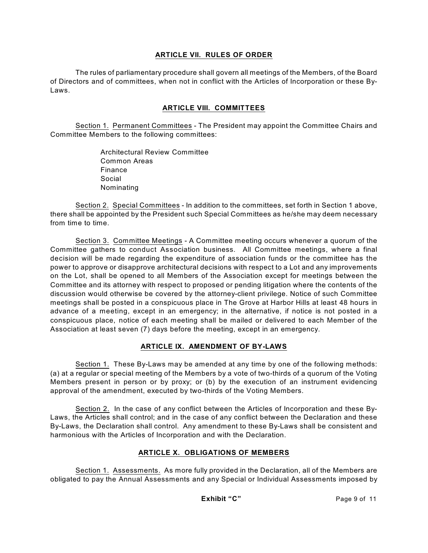#### **ARTICLE VII. RULES OF ORDER**

The rules of parliamentary procedure shall govern all meetings of the Members, of the Board of Directors and of committees, when not in conflict with the Articles of Incorporation or these By-Laws.

## **ARTICLE VIII. COMMITTEES**

Section 1. Permanent Committees - The President may appoint the Committee Chairs and Committee Members to the following committees:

> Architectural Review Committee Common Areas Finance Social Nominating

Section 2. Special Committees - In addition to the committees, set forth in Section 1 above, there shall be appointed by the President such Special Committees as he/she may deem necessary from time to time.

Section 3. Committee Meetings - A Committee meeting occurs whenever a quorum of the Committee gathers to conduct Association business. All Committee meetings, where a final decision will be made regarding the expenditure of association funds or the committee has the power to approve or disapprove architectural decisions with respect to a Lot and any improvements on the Lot, shall be opened to all Members of the Association except for meetings between the Committee and its attorney with respect to proposed or pending litigation where the contents of the discussion would otherwise be covered by the attorney-client privilege. Notice of such Committee meetings shall be posted in a conspicuous place in The Grove at Harbor Hills at least 48 hours in advance of a meeting, except in an emergency; in the alternative, if notice is not posted in a conspicuous place, notice of each meeting shall be mailed or delivered to each Member of the Association at least seven (7) days before the meeting, except in an emergency.

#### **ARTICLE IX. AMENDMENT OF BY-LAWS**

Section 1. These By-Laws may be amended at any time by one of the following methods: (a) at a regular or special meeting of the Members by a vote of two-thirds of a quorum of the Voting Members present in person or by proxy; or (b) by the execution of an instrument evidencing approval of the amendment, executed by two-thirds of the Voting Members.

Section 2. In the case of any conflict between the Articles of Incorporation and these By-Laws, the Articles shall control; and in the case of any conflict between the Declaration and these By-Laws, the Declaration shall control. Any amendment to these By-Laws shall be consistent and harmonious with the Articles of Incorporation and with the Declaration.

## **ARTICLE X. OBLIGATIONS OF MEMBERS**

Section 1. Assessments. As more fully provided in the Declaration, all of the Members are obligated to pay the Annual Assessments and any Special or Individual Assessments imposed by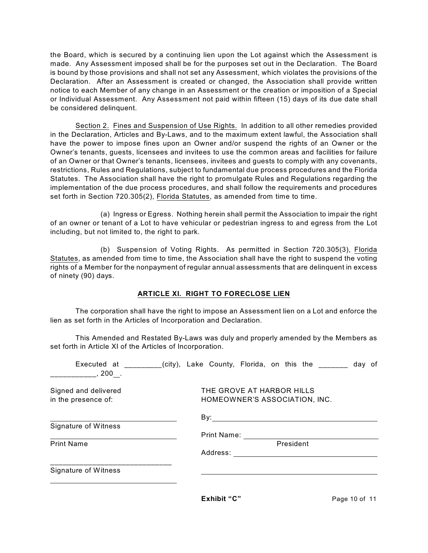the Board, which is secured by a continuing lien upon the Lot against which the Assessment is made. Any Assessment imposed shall be for the purposes set out in the Declaration. The Board is bound by those provisions and shall not set any Assessment, which violates the provisions of the Declaration. After an Assessment is created or changed, the Association shall provide written notice to each Member of any change in an Assessment or the creation or imposition of a Special or Individual Assessment. Any Assessment not paid within fifteen (15) days of its due date shall be considered delinquent.

Section 2. Fines and Suspension of Use Rights. In addition to all other remedies provided in the Declaration, Articles and By-Laws, and to the maximum extent lawful, the Association shall have the power to impose fines upon an Owner and/or suspend the rights of an Owner or the Owner's tenants, guests, licensees and invitees to use the common areas and facilities for failure of an Owner or that Owner's tenants, licensees, invitees and guests to comply with any covenants, restrictions, Rules and Regulations, subject to fundamental due process procedures and the Florida Statutes. The Association shall have the right to promulgate Rules and Regulations regarding the implementation of the due process procedures, and shall follow the requirements and procedures set forth in Section 720.305(2), Florida Statutes, as amended from time to time.

(a) Ingress or Egress. Nothing herein shall permit the Association to impair the right of an owner or tenant of a Lot to have vehicular or pedestrian ingress to and egress from the Lot including, but not limited to, the right to park.

(b) Suspension of Voting Rights. As permitted in Section 720.305(3), Florida Statutes, as amended from time to time, the Association shall have the right to suspend the voting rights of a Member for the nonpayment of regular annual assessments that are delinquent in excess of ninety (90) days.

## **ARTICLE XI. RIGHT TO FORECLOSE LIEN**

The corporation shall have the right to impose an Assessment lien on a Lot and enforce the lien as set forth in the Articles of Incorporation and Declaration.

This Amended and Restated By-Laws was duly and properly amended by the Members as set forth in Article XI of the Articles of Incorporation.

| Executed at<br>200.                         | city), Lake County, Florida, on this the |                                                            |  |  |  |  |  | day of |  |
|---------------------------------------------|------------------------------------------|------------------------------------------------------------|--|--|--|--|--|--------|--|
| Signed and delivered<br>in the presence of: |                                          | THE GROVE AT HARBOR HILLS<br>HOMEOWNER'S ASSOCIATION, INC. |  |  |  |  |  |        |  |
|                                             |                                          | By:                                                        |  |  |  |  |  |        |  |
| Signature of Witness                        |                                          |                                                            |  |  |  |  |  |        |  |
|                                             |                                          | <b>Print Name:</b>                                         |  |  |  |  |  |        |  |
| <b>Print Name</b>                           | President                                |                                                            |  |  |  |  |  |        |  |
|                                             |                                          | Address:                                                   |  |  |  |  |  |        |  |
| Signature of Witness                        |                                          |                                                            |  |  |  |  |  |        |  |
|                                             |                                          |                                                            |  |  |  |  |  |        |  |